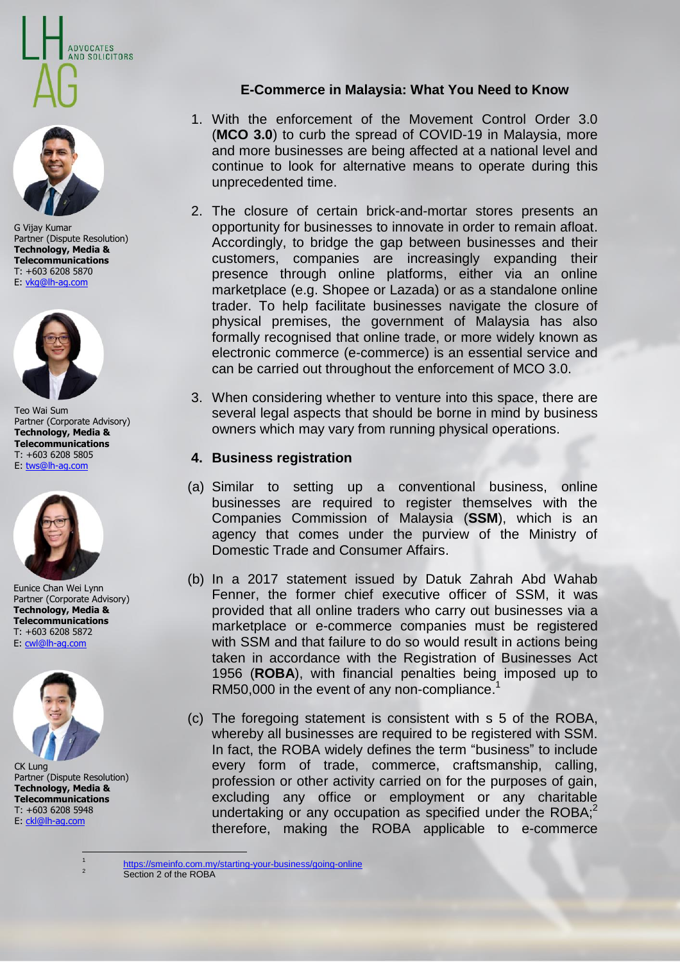



G Vijay Kumar Partner (Dispute Resolution) **Technology, Media & Telecommunications** T: +603 6208 5870 E: [vkg@lh-ag.com](file:///C:/Users/Asus/AppData/Local/Microsoft/Windows/INetCache/Content.Outlook/6TQIQ5C3/vkg@lh-ag.com)



Teo Wai Sum Partner (Corporate Advisory) **Technology, Media & Telecommunications** T: +603 6208 5805 E[: tws@lh-ag.com](mailto:tws@lh-ag.com)



Eunice Chan Wei Lynn Partner (Corporate Advisory) **Technology, Media & Telecommunications** T: +603 6208 5872 E: [cwl@lh-ag.com](mailto:cwl@lh-ag.com)



CK Lung Partner (Dispute Resolution) **Technology, Media & Telecommunications** T: +603 6208 5948 E[: ckl@lh-ag.com](mailto:ckl@lh-ag.com)

> $\ddot{\phantom{0}}$ 1

# **E-Commerce in Malaysia: What You Need to Know**

- 1. With the enforcement of the Movement Control Order 3.0 (**MCO 3.0**) to curb the spread of COVID-19 in Malaysia, more and more businesses are being affected at a national level and continue to look for alternative means to operate during this unprecedented time.
- 2. The closure of certain brick-and-mortar stores presents an opportunity for businesses to innovate in order to remain afloat. Accordingly, to bridge the gap between businesses and their customers, companies are increasingly expanding their presence through online platforms, either via an online marketplace (e.g. Shopee or Lazada) or as a standalone online trader. To help facilitate businesses navigate the closure of physical premises, the government of Malaysia has also formally recognised that online trade, or more widely known as electronic commerce (e-commerce) is an essential service and can be carried out throughout the enforcement of MCO 3.0.
- 3. When considering whether to venture into this space, there are several legal aspects that should be borne in mind by business owners which may vary from running physical operations.

#### **4. Business registration**

- (a) Similar to setting up a conventional business, online businesses are required to register themselves with the Companies Commission of Malaysia (**SSM**), which is an agency that comes under the purview of the Ministry of Domestic Trade and Consumer Affairs.
- (b) In a 2017 statement issued by Datuk Zahrah Abd Wahab Fenner, the former chief executive officer of SSM, it was provided that all online traders who carry out businesses via a marketplace or e-commerce companies must be registered with SSM and that failure to do so would result in actions being taken in accordance with the Registration of Businesses Act 1956 (**ROBA**), with financial penalties being imposed up to RM50,000 in the event of any non-compliance. 1
- (c) The foregoing statement is consistent with s 5 of the ROBA, whereby all businesses are required to be registered with SSM. In fact, the ROBA widely defines the term "business" to include every form of trade, commerce, craftsmanship, calling, profession or other activity carried on for the purposes of gain, excluding any office or employment or any charitable undertaking or any occupation as specified under the ROBA;<sup>2</sup> therefore, making the ROBA applicable to e-commerce

<https://smeinfo.com.my/starting-your-business/going-online>

<sup>2</sup> Section 2 of the ROBA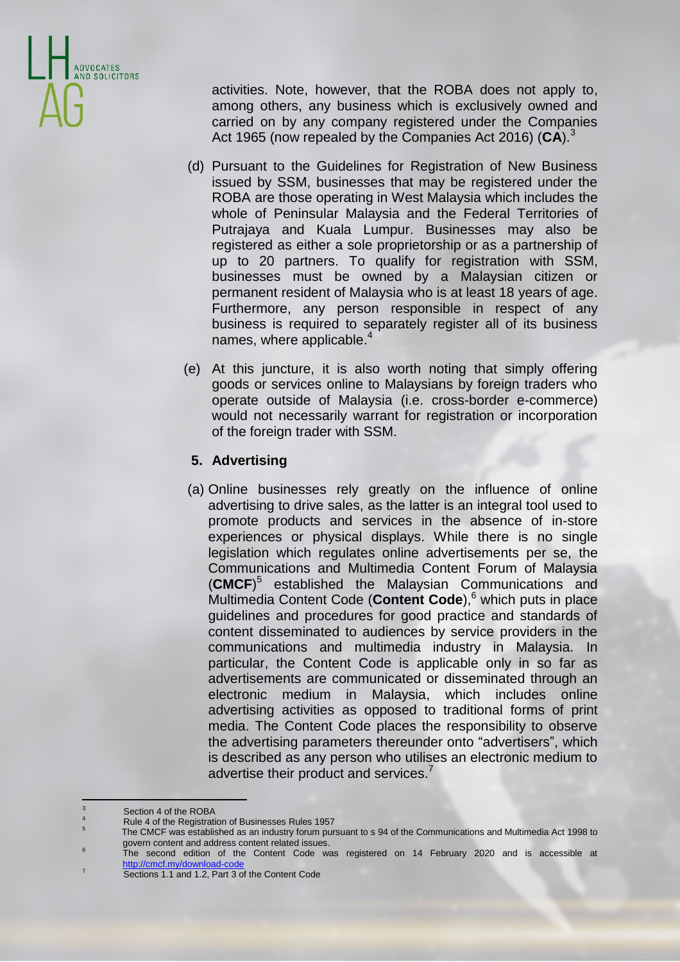

activities. Note, however, that the ROBA does not apply to, among others, any business which is exclusively owned and carried on by any company registered under the Companies Act 1965 (now repealed by the Companies Act 2016) (**CA**). 3

- (d) Pursuant to the Guidelines for Registration of New Business issued by SSM, businesses that may be registered under the ROBA are those operating in West Malaysia which includes the whole of Peninsular Malaysia and the Federal Territories of Putrajaya and Kuala Lumpur. Businesses may also be registered as either a sole proprietorship or as a partnership of up to 20 partners. To qualify for registration with SSM, businesses must be owned by a Malaysian citizen or permanent resident of Malaysia who is at least 18 years of age. Furthermore, any person responsible in respect of any business is required to separately register all of its business names, where applicable. 4
- (e) At this juncture, it is also worth noting that simply offering goods or services online to Malaysians by foreign traders who operate outside of Malaysia (i.e. cross-border e-commerce) would not necessarily warrant for registration or incorporation of the foreign trader with SSM.

# **5. Advertising**

(a) Online businesses rely greatly on the influence of online advertising to drive sales, as the latter is an integral tool used to promote products and services in the absence of in-store experiences or physical displays. While there is no single legislation which regulates online advertisements per se, the Communications and Multimedia Content Forum of Malaysia (**CMCF**) 5 established the Malaysian Communications and Multimedia Content Code (**Content Code**), <sup>6</sup> which puts in place guidelines and procedures for good practice and standards of content disseminated to audiences by service providers in the communications and multimedia industry in Malaysia. In particular, the Content Code is applicable only in so far as advertisements are communicated or disseminated through an electronic medium in Malaysia, which includes online advertising activities as opposed to traditional forms of print media. The Content Code places the responsibility to observe the advertising parameters thereunder onto "advertisers", which is described as any person who utilises an electronic medium to advertise their product and services.<sup>7</sup>

 $\overline{\phantom{a}}$ Section 4 of the ROBA

<sup>4</sup> Rule 4 of the Registration of Businesses Rules 1957 5

The CMCF was established as an industry forum pursuant to s 94 of the Communications and Multimedia Act 1998 to govern content and address content related issues. 6

The second edition of the Content Code was registered on 14 February 2020 and is accessible at <http://cmcf.my/download-code>

<sup>7</sup> Sections 1.1 and 1.2, Part 3 of the Content Code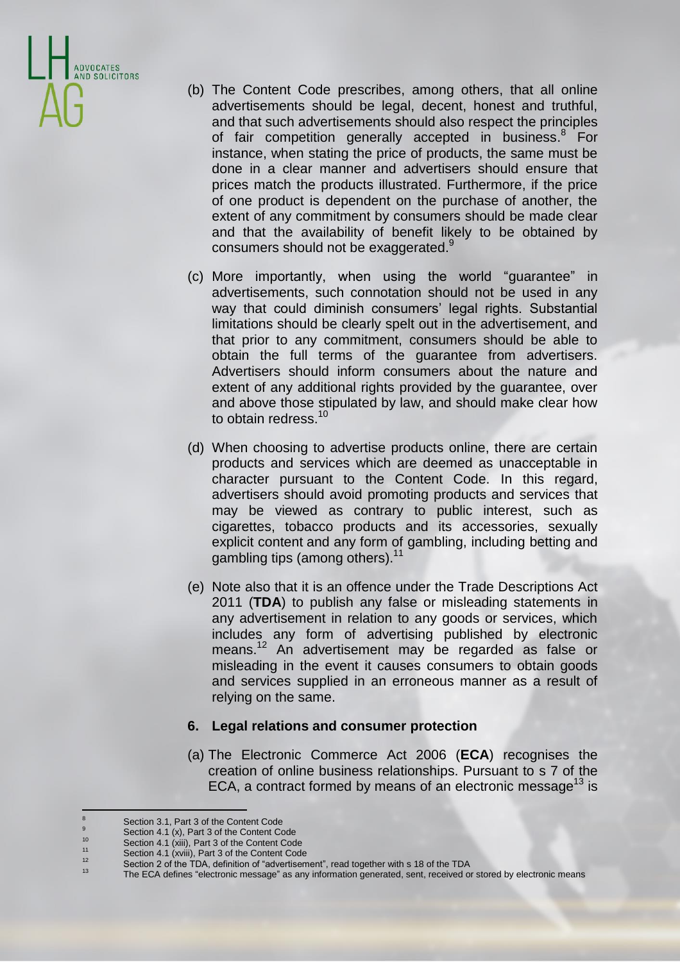

- (b) The Content Code prescribes, among others, that all online advertisements should be legal, decent, honest and truthful, and that such advertisements should also respect the principles of fair competition generally accepted in business.<sup>8</sup> For instance, when stating the price of products, the same must be done in a clear manner and advertisers should ensure that prices match the products illustrated. Furthermore, if the price of one product is dependent on the purchase of another, the extent of any commitment by consumers should be made clear and that the availability of benefit likely to be obtained by consumers should not be exaggerated.<sup>9</sup>
- (c) More importantly, when using the world "guarantee" in advertisements, such connotation should not be used in any way that could diminish consumers' legal rights. Substantial limitations should be clearly spelt out in the advertisement, and that prior to any commitment, consumers should be able to obtain the full terms of the guarantee from advertisers. Advertisers should inform consumers about the nature and extent of any additional rights provided by the guarantee, over and above those stipulated by law, and should make clear how to obtain redress.<sup>10</sup>
- (d) When choosing to advertise products online, there are certain products and services which are deemed as unacceptable in character pursuant to the Content Code. In this regard, advertisers should avoid promoting products and services that may be viewed as contrary to public interest, such as cigarettes, tobacco products and its accessories, sexually explicit content and any form of gambling, including betting and gambling tips (among others).<sup>11</sup>
- (e) Note also that it is an offence under the Trade Descriptions Act 2011 (**TDA**) to publish any false or misleading statements in any advertisement in relation to any goods or services, which includes any form of advertising published by electronic means. <sup>12</sup> An advertisement may be regarded as false or misleading in the event it causes consumers to obtain goods and services supplied in an erroneous manner as a result of relying on the same.

### **6. Legal relations and consumer protection**

(a) The Electronic Commerce Act 2006 (**ECA**) recognises the creation of online business relationships. Pursuant to s 7 of the ECA, a contract formed by means of an electronic message<sup>13</sup> is

 $\overline{8}$  $\frac{8}{9}$  Section 3.1, Part 3 of the Content Code

 $\frac{9}{10}$  Section 4.1 (x), Part 3 of the Content Code

<sup>&</sup>lt;sup>10</sup> Section 4.1 (xiii), Part 3 of the Content Code<br><sup>11</sup> Section 4.4 (gail), Part 3 of the Content Code

<sup>&</sup>lt;sup>11</sup> Section 4.1 (xviii), Part 3 of the Content Code<br> $\frac{12}{12}$ 

<sup>&</sup>lt;sup>12</sup> Section 2 of the TDA, definition of "advertisement", read together with s 18 of the TDA<br><sup>13</sup> The FCA defines "electronic message" as any information generated east received at

The ECA defines "electronic message" as any information generated, sent, received or stored by electronic means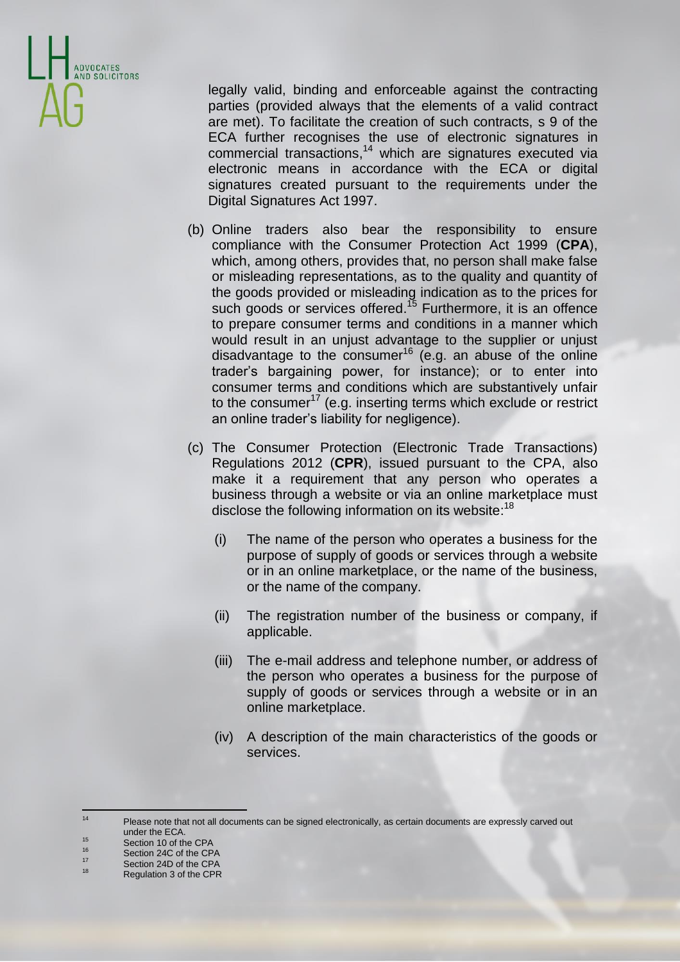

legally valid, binding and enforceable against the contracting parties (provided always that the elements of a valid contract are met). To facilitate the creation of such contracts, s 9 of the ECA further recognises the use of electronic signatures in commercial transactions, <sup>14</sup> which are signatures executed via electronic means in accordance with the ECA or digital signatures created pursuant to the requirements under the Digital Signatures Act 1997.

- (b) Online traders also bear the responsibility to ensure compliance with the Consumer Protection Act 1999 (**CPA**), which, among others, provides that, no person shall make false or misleading representations, as to the quality and quantity of the goods provided or misleading indication as to the prices for such goods or services offered.<sup>15</sup> Furthermore, it is an offence to prepare consumer terms and conditions in a manner which would result in an unjust advantage to the supplier or unjust disadvantage to the consumer<sup>16</sup> (e.g. an abuse of the online trader's bargaining power, for instance); or to enter into consumer terms and conditions which are substantively unfair to the consumer<sup>17</sup> (e.g. inserting terms which exclude or restrict an online trader's liability for negligence).
- (c) The Consumer Protection (Electronic Trade Transactions) Regulations 2012 (**CPR**), issued pursuant to the CPA, also make it a requirement that any person who operates a business through a website or via an online marketplace must disclose the following information on its website:<sup>18</sup>
	- (i) The name of the person who operates a business for the purpose of supply of goods or services through a website or in an online marketplace, or the name of the business, or the name of the company.
	- (ii) The registration number of the business or company, if applicable.
	- (iii) The e-mail address and telephone number, or address of the person who operates a business for the purpose of supply of goods or services through a website or in an online marketplace.
	- (iv) A description of the main characteristics of the goods or services.

- $^{17}$  Section 24D of the CPA
- Regulation 3 of the CPR

 $14$ Please note that not all documents can be signed electronically, as certain documents are expressly carved out under the ECA.

<sup>&</sup>lt;sup>15</sup> Section 10 of the CPA

 $^{16}$  Section 24C of the CPA